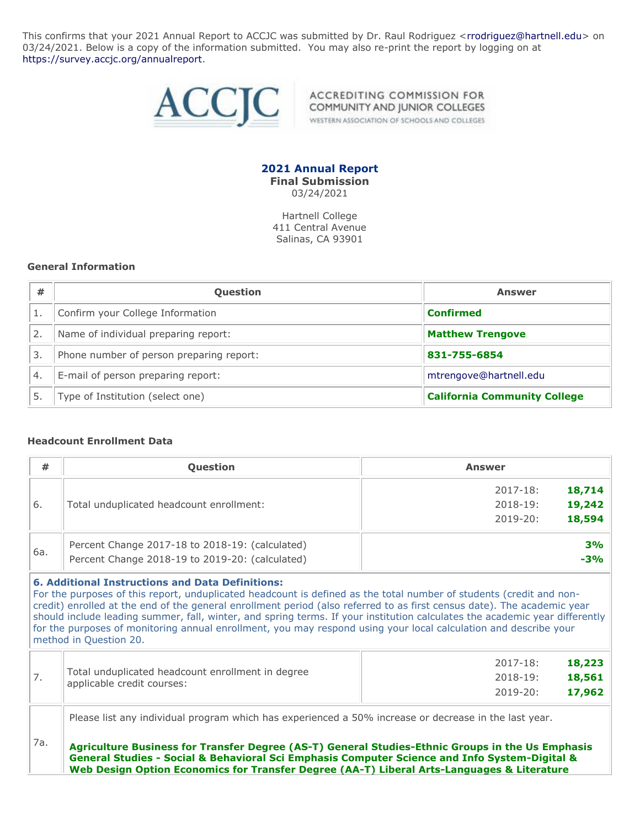This confirms that your 2021 Annual Report to ACCJC was submitted by Dr. Raul Rodriguez [<rrodriguez@hartnell.edu>](mailto:rrodriguez@hartnell.edu) on 03/24/2021. Below is a copy of the information submitted. You may also re-print the report by logging on at [https://survey.accjc.org/annualreport.](https://survey.accjc.org/annualreport)



ACCREDITING COMMISSION FOR COMMUNITY AND JUNIOR COLLEGES WESTERN ASSOCIATION OF SCHOOLS AND COLLEGES

**2021 Annual Report Final Submission** 03/24/2021

Hartnell College 411 Central Avenue Salinas, CA 93901

#### **General Information**

| #                | <b>Question</b>                          | <b>Answer</b>                       |
|------------------|------------------------------------------|-------------------------------------|
|                  | Confirm your College Information         | <b>Confirmed</b>                    |
| 2.               | Name of individual preparing report:     | <b>Matthew Trengove</b>             |
| 3.               | Phone number of person preparing report: | 831-755-6854                        |
| $\overline{4}$ . | E-mail of person preparing report:       | mtrengove@hartnell.edu              |
|                  | Type of Institution (select one)         | <b>California Community College</b> |

#### **Headcount Enrollment Data**

| #   | <b>Question</b>                                                                                                                                                                                                                                                                                                                                                                                                                                                                                                                                              | <b>Answer</b>          |
|-----|--------------------------------------------------------------------------------------------------------------------------------------------------------------------------------------------------------------------------------------------------------------------------------------------------------------------------------------------------------------------------------------------------------------------------------------------------------------------------------------------------------------------------------------------------------------|------------------------|
|     |                                                                                                                                                                                                                                                                                                                                                                                                                                                                                                                                                              | 18,714<br>$2017 - 18:$ |
| 6.  | Total unduplicated headcount enrollment:                                                                                                                                                                                                                                                                                                                                                                                                                                                                                                                     | 19,242<br>$2018 - 19:$ |
|     |                                                                                                                                                                                                                                                                                                                                                                                                                                                                                                                                                              | 18,594<br>$2019 - 20:$ |
|     | Percent Change 2017-18 to 2018-19: (calculated)                                                                                                                                                                                                                                                                                                                                                                                                                                                                                                              | 3%                     |
| 6a. | Percent Change 2018-19 to 2019-20: (calculated)                                                                                                                                                                                                                                                                                                                                                                                                                                                                                                              | $-3%$                  |
|     | <b>6. Additional Instructions and Data Definitions:</b><br>For the purposes of this report, unduplicated headcount is defined as the total number of students (credit and non-<br>credit) enrolled at the end of the general enrollment period (also referred to as first census date). The academic year<br>should include leading summer, fall, winter, and spring terms. If your institution calculates the academic year differently<br>for the purposes of monitoring annual enrollment, you may respond using your local calculation and describe your |                        |

method in Question 20.

| Total unduplicated headcount enrollment in degree<br>applicable credit courses: | 2018-19:<br>2019-20: | 18,561<br>17,962 |
|---------------------------------------------------------------------------------|----------------------|------------------|
|                                                                                 |                      |                  |
|                                                                                 | 2017-18:             | 18,223           |

Please list any individual program which has experienced a 50% increase or decrease in the last year.

7a. **Agriculture Business for Transfer Degree (AS-T) General Studies-Ethnic Groups in the Us Emphasis General Studies - Social & Behavioral Sci Emphasis Computer Science and Info System-Digital & Web Design Option Economics for Transfer Degree (AA-T) Liberal Arts-Languages & Literature**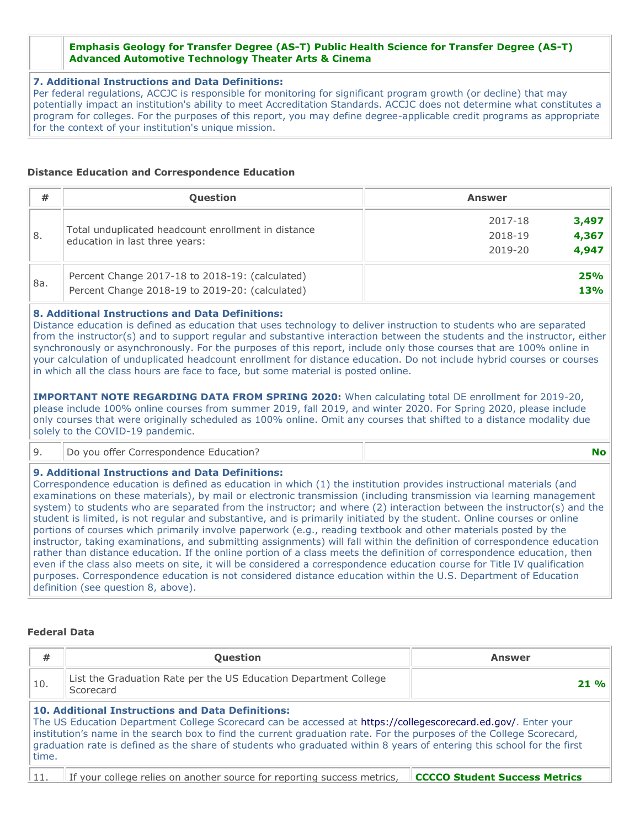#### **Emphasis Geology for Transfer Degree (AS-T) Public Health Science for Transfer Degree (AS-T) Advanced Automotive Technology Theater Arts & Cinema**

#### **7. Additional Instructions and Data Definitions:**

Per federal regulations, ACCJC is responsible for monitoring for significant program growth (or decline) that may potentially impact an institution's ability to meet Accreditation Standards. ACCJC does not determine what constitutes a program for colleges. For the purposes of this report, you may define degree-applicable credit programs as appropriate for the context of your institution's unique mission.

## **Distance Education and Correspondence Education**

| #             | <b>Question</b>                                                                                    | <b>Answer</b>                        |
|---------------|----------------------------------------------------------------------------------------------------|--------------------------------------|
| <sup>8.</sup> | Total unduplicated headcount enrollment in distance                                                | 3,497<br>2017-18<br>4,367<br>2018-19 |
|               | education in last three years:                                                                     | 4,947<br>2019-20                     |
| 8a.           | Percent Change 2017-18 to 2018-19: (calculated)<br>Percent Change 2018-19 to 2019-20: (calculated) | <b>25%</b><br><b>13%</b>             |

# **8. Additional Instructions and Data Definitions:**

Distance education is defined as education that uses technology to deliver instruction to students who are separated from the instructor(s) and to support regular and substantive interaction between the students and the instructor, either synchronously or asynchronously. For the purposes of this report, include only those courses that are 100% online in your calculation of unduplicated headcount enrollment for distance education. Do not include hybrid courses or courses in which all the class hours are face to face, but some material is posted online.

**IMPORTANT NOTE REGARDING DATA FROM SPRING 2020:** When calculating total DE enrollment for 2019-20, please include 100% online courses from summer 2019, fall 2019, and winter 2020. For Spring 2020, please include only courses that were originally scheduled as 100% online. Omit any courses that shifted to a distance modality due solely to the COVID-19 pandemic.

| Do you offer Correspondence Education? |  |
|----------------------------------------|--|
|----------------------------------------|--|

#### **9. Additional Instructions and Data Definitions:**

Correspondence education is defined as education in which (1) the institution provides instructional materials (and examinations on these materials), by mail or electronic transmission (including transmission via learning management system) to students who are separated from the instructor; and where (2) interaction between the instructor(s) and the student is limited, is not regular and substantive, and is primarily initiated by the student. Online courses or online portions of courses which primarily involve paperwork (e.g., reading textbook and other materials posted by the instructor, taking examinations, and submitting assignments) will fall within the definition of correspondence education rather than distance education. If the online portion of a class meets the definition of correspondence education, then even if the class also meets on site, it will be considered a correspondence education course for Title IV qualification purposes. Correspondence education is not considered distance education within the U.S. Department of Education definition (see question 8, above).

## **Federal Data**

| #                                                                                    | <b>Question</b>                                                                                                                                                                                                                                                                                                                                                                                                             | <b>Answer</b>                        |
|--------------------------------------------------------------------------------------|-----------------------------------------------------------------------------------------------------------------------------------------------------------------------------------------------------------------------------------------------------------------------------------------------------------------------------------------------------------------------------------------------------------------------------|--------------------------------------|
| List the Graduation Rate per the US Education Department College<br>10.<br>Scorecard |                                                                                                                                                                                                                                                                                                                                                                                                                             | $21 \%$                              |
| time.                                                                                | <b>10. Additional Instructions and Data Definitions:</b><br>The US Education Department College Scorecard can be accessed at https://collegescorecard.ed.gov/. Enter your<br>institution's name in the search box to find the current graduation rate. For the purposes of the College Scorecard,<br>graduation rate is defined as the share of students who graduated within 8 years of entering this school for the first |                                      |
|                                                                                      | If your college relies on another source for reporting success metrics.                                                                                                                                                                                                                                                                                                                                                     | <b>CCCCO Student Success Metrics</b> |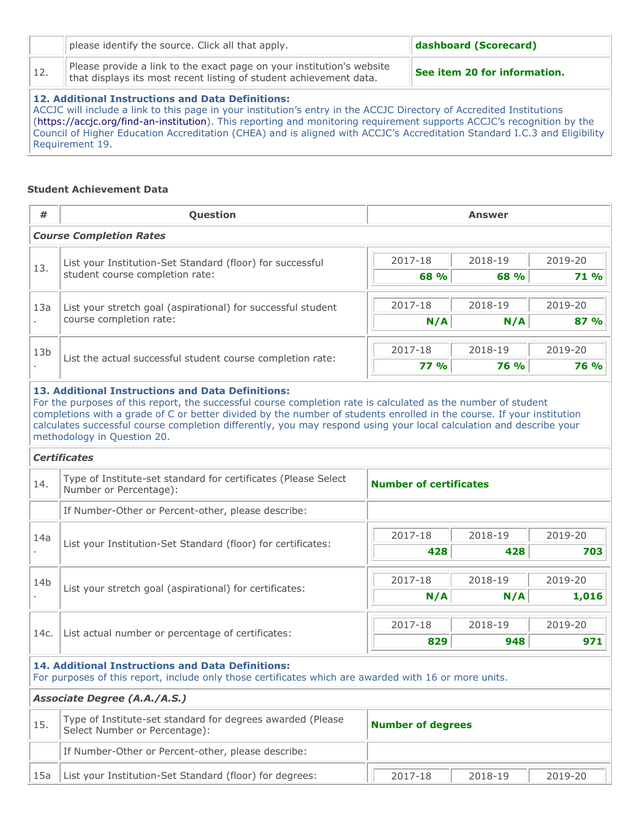|      | please identify the source. Click all that apply.                                                                                           | dashboard (Scorecard)        |
|------|---------------------------------------------------------------------------------------------------------------------------------------------|------------------------------|
| 112. | Please provide a link to the exact page on your institution's website<br>that displays its most recent listing of student achievement data. | See item 20 for information. |
|      | 12. Additional Instructions and Data Definitions:                                                                                           |                              |

ACCJC will include a link to this page in your institution's entry in the ACCJC Directory of Accredited Institutions [\(https://accjc.org/find-an-institution](https://accjc.org/find-an-institution)). This reporting and monitoring requirement supports ACCJC's recognition by the Council of Higher Education Accreditation (CHEA) and is aligned with ACCJC's Accreditation Standard I.C.3 and Eligibility Requirement 19.

# **Student Achievement Data**

| #                                                                                                                                | Question                                                                                                                                                                                                                                                                                                                                                                                                            | <b>Answer</b>            |             |             |  |
|----------------------------------------------------------------------------------------------------------------------------------|---------------------------------------------------------------------------------------------------------------------------------------------------------------------------------------------------------------------------------------------------------------------------------------------------------------------------------------------------------------------------------------------------------------------|--------------------------|-------------|-------------|--|
|                                                                                                                                  | <b>Course Completion Rates</b>                                                                                                                                                                                                                                                                                                                                                                                      |                          |             |             |  |
| List your Institution-Set Standard (floor) for successful                                                                        |                                                                                                                                                                                                                                                                                                                                                                                                                     | 2017-18                  | 2018-19     | 2019-20     |  |
| 13.                                                                                                                              | student course completion rate:                                                                                                                                                                                                                                                                                                                                                                                     | 68 %                     | 68 %        | 71 %        |  |
| 13a                                                                                                                              | List your stretch goal (aspirational) for successful student                                                                                                                                                                                                                                                                                                                                                        | 2017-18                  | 2018-19     | 2019-20     |  |
|                                                                                                                                  | course completion rate:                                                                                                                                                                                                                                                                                                                                                                                             | N/A                      | N/A         | 87 %        |  |
| 13 <sub>b</sub>                                                                                                                  |                                                                                                                                                                                                                                                                                                                                                                                                                     | 2017-18                  | 2018-19     | 2019-20     |  |
|                                                                                                                                  | List the actual successful student course completion rate:                                                                                                                                                                                                                                                                                                                                                          | <b>77 %</b>              | <b>76 %</b> | <b>76 %</b> |  |
|                                                                                                                                  | For the purposes of this report, the successful course completion rate is calculated as the number of student<br>completions with a grade of C or better divided by the number of students enrolled in the course. If your institution<br>calculates successful course completion differently, you may respond using your local calculation and describe your<br>methodology in Question 20.<br><b>Certificates</b> |                          |             |             |  |
|                                                                                                                                  |                                                                                                                                                                                                                                                                                                                                                                                                                     |                          |             |             |  |
| Type of Institute-set standard for certificates (Please Select<br>14.<br><b>Number of certificates</b><br>Number or Percentage): |                                                                                                                                                                                                                                                                                                                                                                                                                     |                          |             |             |  |
|                                                                                                                                  | If Number-Other or Percent-other, please describe:                                                                                                                                                                                                                                                                                                                                                                  |                          |             |             |  |
| 14a                                                                                                                              | List your Institution-Set Standard (floor) for certificates:                                                                                                                                                                                                                                                                                                                                                        | 2017-18                  | 2018-19     | 2019-20     |  |
|                                                                                                                                  |                                                                                                                                                                                                                                                                                                                                                                                                                     | 428                      | 428         | 703         |  |
| 14 <sub>b</sub>                                                                                                                  |                                                                                                                                                                                                                                                                                                                                                                                                                     | 2017-18                  | 2018-19     | 2019-20     |  |
|                                                                                                                                  | List your stretch goal (aspirational) for certificates:                                                                                                                                                                                                                                                                                                                                                             | N/A                      | N/A         | 1,016       |  |
|                                                                                                                                  |                                                                                                                                                                                                                                                                                                                                                                                                                     | 2017-18                  | 2018-19     | 2019-20     |  |
| 14c.                                                                                                                             | List actual number or percentage of certificates:                                                                                                                                                                                                                                                                                                                                                                   | 829                      | 948         | 971         |  |
|                                                                                                                                  | <b>14. Additional Instructions and Data Definitions:</b><br>For purposes of this report, include only those certificates which are awarded with 16 or more units.                                                                                                                                                                                                                                                   |                          |             |             |  |
|                                                                                                                                  | <b>Associate Degree (A.A./A.S.)</b>                                                                                                                                                                                                                                                                                                                                                                                 |                          |             |             |  |
| 15.                                                                                                                              | Type of Institute-set standard for degrees awarded (Please<br>Select Number or Percentage):                                                                                                                                                                                                                                                                                                                         | <b>Number of degrees</b> |             |             |  |
|                                                                                                                                  | If Number-Other or Percent-other, please describe:                                                                                                                                                                                                                                                                                                                                                                  |                          |             |             |  |
| 15a                                                                                                                              | List your Institution-Set Standard (floor) for degrees:                                                                                                                                                                                                                                                                                                                                                             | 2017-18                  | 2018-19     | 2019-20     |  |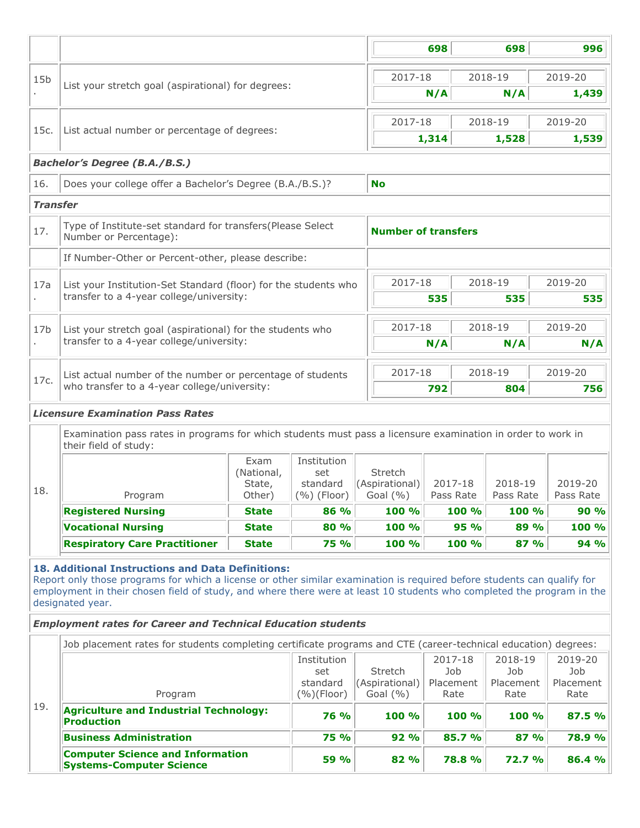|                                                                                                                                                                                                                                                                                                                                                                                                                                                                                                                                                                                                                                                                                                                                                                                                                                                                                                                                                                                                                                                                                                                                                                                                        |                                                                                                                                                                                                                                                                                                                           |       |                           |                                | 698                        | 698                  | 996                  |
|--------------------------------------------------------------------------------------------------------------------------------------------------------------------------------------------------------------------------------------------------------------------------------------------------------------------------------------------------------------------------------------------------------------------------------------------------------------------------------------------------------------------------------------------------------------------------------------------------------------------------------------------------------------------------------------------------------------------------------------------------------------------------------------------------------------------------------------------------------------------------------------------------------------------------------------------------------------------------------------------------------------------------------------------------------------------------------------------------------------------------------------------------------------------------------------------------------|---------------------------------------------------------------------------------------------------------------------------------------------------------------------------------------------------------------------------------------------------------------------------------------------------------------------------|-------|---------------------------|--------------------------------|----------------------------|----------------------|----------------------|
|                                                                                                                                                                                                                                                                                                                                                                                                                                                                                                                                                                                                                                                                                                                                                                                                                                                                                                                                                                                                                                                                                                                                                                                                        |                                                                                                                                                                                                                                                                                                                           |       |                           | 2017-18                        |                            | 2018-19              | 2019-20              |
|                                                                                                                                                                                                                                                                                                                                                                                                                                                                                                                                                                                                                                                                                                                                                                                                                                                                                                                                                                                                                                                                                                                                                                                                        |                                                                                                                                                                                                                                                                                                                           |       |                           |                                | N/A                        | N/A                  | 1,439                |
|                                                                                                                                                                                                                                                                                                                                                                                                                                                                                                                                                                                                                                                                                                                                                                                                                                                                                                                                                                                                                                                                                                                                                                                                        |                                                                                                                                                                                                                                                                                                                           |       |                           | 2017-18                        |                            | 2018-19              | 2019-20              |
| 15 <sub>b</sub><br>List your stretch goal (aspirational) for degrees:<br>List actual number or percentage of degrees:<br>15c.<br><b>Bachelor's Degree (B.A./B.S.)</b><br>16.<br>Does your college offer a Bachelor's Degree (B.A./B.S.)?<br><b>Transfer</b><br>Type of Institute-set standard for transfers(Please Select<br>17.<br>Number or Percentage):<br>If Number-Other or Percent-other, please describe:<br>17a<br>List your Institution-Set Standard (floor) for the students who<br>transfer to a 4-year college/university:<br>17 <sub>b</sub><br>List your stretch goal (aspirational) for the students who<br>transfer to a 4-year college/university:<br>List actual number of the number or percentage of students<br>17c.<br>who transfer to a 4-year college/university:<br><b>Licensure Examination Pass Rates</b><br>Examination pass rates in programs for which students must pass a licensure examination in order to work in<br>their field of study:<br>Institution<br>Exam<br>(National,<br>set<br>standard<br>State,<br>18.<br>$(\%)$ (Floor)<br>Program<br>Other)<br>86 %<br><b>Registered Nursing</b><br><b>State</b><br><b>Vocational Nursing</b><br>80 %<br><b>State</b> |                                                                                                                                                                                                                                                                                                                           |       | 1,314                     | 1,528                          | 1,539                      |                      |                      |
|                                                                                                                                                                                                                                                                                                                                                                                                                                                                                                                                                                                                                                                                                                                                                                                                                                                                                                                                                                                                                                                                                                                                                                                                        |                                                                                                                                                                                                                                                                                                                           |       |                           |                                |                            |                      |                      |
|                                                                                                                                                                                                                                                                                                                                                                                                                                                                                                                                                                                                                                                                                                                                                                                                                                                                                                                                                                                                                                                                                                                                                                                                        |                                                                                                                                                                                                                                                                                                                           |       |                           | <b>No</b>                      |                            |                      |                      |
|                                                                                                                                                                                                                                                                                                                                                                                                                                                                                                                                                                                                                                                                                                                                                                                                                                                                                                                                                                                                                                                                                                                                                                                                        |                                                                                                                                                                                                                                                                                                                           |       |                           |                                |                            |                      |                      |
|                                                                                                                                                                                                                                                                                                                                                                                                                                                                                                                                                                                                                                                                                                                                                                                                                                                                                                                                                                                                                                                                                                                                                                                                        |                                                                                                                                                                                                                                                                                                                           |       |                           |                                | <b>Number of transfers</b> |                      |                      |
|                                                                                                                                                                                                                                                                                                                                                                                                                                                                                                                                                                                                                                                                                                                                                                                                                                                                                                                                                                                                                                                                                                                                                                                                        |                                                                                                                                                                                                                                                                                                                           |       |                           |                                |                            |                      |                      |
|                                                                                                                                                                                                                                                                                                                                                                                                                                                                                                                                                                                                                                                                                                                                                                                                                                                                                                                                                                                                                                                                                                                                                                                                        |                                                                                                                                                                                                                                                                                                                           |       |                           | 2017-18                        |                            | 2018-19              | 2019-20              |
|                                                                                                                                                                                                                                                                                                                                                                                                                                                                                                                                                                                                                                                                                                                                                                                                                                                                                                                                                                                                                                                                                                                                                                                                        |                                                                                                                                                                                                                                                                                                                           |       |                           |                                | 535                        | 535                  | 535                  |
|                                                                                                                                                                                                                                                                                                                                                                                                                                                                                                                                                                                                                                                                                                                                                                                                                                                                                                                                                                                                                                                                                                                                                                                                        |                                                                                                                                                                                                                                                                                                                           |       |                           | 2017-18                        |                            | 2018-19              | 2019-20              |
|                                                                                                                                                                                                                                                                                                                                                                                                                                                                                                                                                                                                                                                                                                                                                                                                                                                                                                                                                                                                                                                                                                                                                                                                        |                                                                                                                                                                                                                                                                                                                           |       |                           |                                | N/A                        | N/A                  | N/A                  |
|                                                                                                                                                                                                                                                                                                                                                                                                                                                                                                                                                                                                                                                                                                                                                                                                                                                                                                                                                                                                                                                                                                                                                                                                        |                                                                                                                                                                                                                                                                                                                           |       |                           | 2017-18                        |                            | 2018-19              | 2019-20              |
|                                                                                                                                                                                                                                                                                                                                                                                                                                                                                                                                                                                                                                                                                                                                                                                                                                                                                                                                                                                                                                                                                                                                                                                                        |                                                                                                                                                                                                                                                                                                                           |       |                           |                                | 792                        | 804                  | 756                  |
|                                                                                                                                                                                                                                                                                                                                                                                                                                                                                                                                                                                                                                                                                                                                                                                                                                                                                                                                                                                                                                                                                                                                                                                                        |                                                                                                                                                                                                                                                                                                                           |       |                           |                                |                            |                      |                      |
|                                                                                                                                                                                                                                                                                                                                                                                                                                                                                                                                                                                                                                                                                                                                                                                                                                                                                                                                                                                                                                                                                                                                                                                                        |                                                                                                                                                                                                                                                                                                                           |       |                           |                                |                            |                      |                      |
|                                                                                                                                                                                                                                                                                                                                                                                                                                                                                                                                                                                                                                                                                                                                                                                                                                                                                                                                                                                                                                                                                                                                                                                                        |                                                                                                                                                                                                                                                                                                                           |       |                           |                                |                            |                      |                      |
|                                                                                                                                                                                                                                                                                                                                                                                                                                                                                                                                                                                                                                                                                                                                                                                                                                                                                                                                                                                                                                                                                                                                                                                                        |                                                                                                                                                                                                                                                                                                                           |       |                           | Stretch                        |                            |                      |                      |
|                                                                                                                                                                                                                                                                                                                                                                                                                                                                                                                                                                                                                                                                                                                                                                                                                                                                                                                                                                                                                                                                                                                                                                                                        |                                                                                                                                                                                                                                                                                                                           |       |                           | (Aspirational)<br>Goal $(\% )$ | 2017-18<br>Pass Rate       | 2018-19<br>Pass Rate | 2019-20<br>Pass Rate |
|                                                                                                                                                                                                                                                                                                                                                                                                                                                                                                                                                                                                                                                                                                                                                                                                                                                                                                                                                                                                                                                                                                                                                                                                        |                                                                                                                                                                                                                                                                                                                           |       |                           | 100 %                          | 100 %                      | 100 %                | <b>90 %</b>          |
|                                                                                                                                                                                                                                                                                                                                                                                                                                                                                                                                                                                                                                                                                                                                                                                                                                                                                                                                                                                                                                                                                                                                                                                                        |                                                                                                                                                                                                                                                                                                                           |       |                           | 100 %                          | 95 %                       | 89 %                 | 100 %                |
| <b>Respiratory Care Practitioner</b><br><b>75 %</b><br><b>State</b>                                                                                                                                                                                                                                                                                                                                                                                                                                                                                                                                                                                                                                                                                                                                                                                                                                                                                                                                                                                                                                                                                                                                    |                                                                                                                                                                                                                                                                                                                           | 100 % | 100 %                     | 87 %                           | 94 %                       |                      |                      |
|                                                                                                                                                                                                                                                                                                                                                                                                                                                                                                                                                                                                                                                                                                                                                                                                                                                                                                                                                                                                                                                                                                                                                                                                        | 18. Additional Instructions and Data Definitions:<br>Report only those programs for which a license or other similar examination is required before students can qualify for<br>employment in their chosen field of study, and where there were at least 10 students who completed the program in the<br>designated year. |       |                           |                                |                            |                      |                      |
|                                                                                                                                                                                                                                                                                                                                                                                                                                                                                                                                                                                                                                                                                                                                                                                                                                                                                                                                                                                                                                                                                                                                                                                                        | <b>Employment rates for Career and Technical Education students</b>                                                                                                                                                                                                                                                       |       |                           |                                |                            |                      |                      |
|                                                                                                                                                                                                                                                                                                                                                                                                                                                                                                                                                                                                                                                                                                                                                                                                                                                                                                                                                                                                                                                                                                                                                                                                        | Job placement rates for students completing certificate programs and CTE (career-technical education) degrees:                                                                                                                                                                                                            |       |                           |                                |                            |                      |                      |
|                                                                                                                                                                                                                                                                                                                                                                                                                                                                                                                                                                                                                                                                                                                                                                                                                                                                                                                                                                                                                                                                                                                                                                                                        | set                                                                                                                                                                                                                                                                                                                       |       | Institution               | Stretch                        | 2017-18<br>Job             | 2018-19<br>Job       | 2019-20<br>Job       |
|                                                                                                                                                                                                                                                                                                                                                                                                                                                                                                                                                                                                                                                                                                                                                                                                                                                                                                                                                                                                                                                                                                                                                                                                        | Program                                                                                                                                                                                                                                                                                                                   |       | standard<br>$(\%)(Floor)$ | (Aspirational)<br>Goal $(% )$  | Placement<br>Rate          | Placement<br>Rate    | Placement<br>Rate    |
| 19.                                                                                                                                                                                                                                                                                                                                                                                                                                                                                                                                                                                                                                                                                                                                                                                                                                                                                                                                                                                                                                                                                                                                                                                                    | <b>Agriculture and Industrial Technology:</b><br><b>Production</b>                                                                                                                                                                                                                                                        |       | <b>76 %</b>               | 100 %                          | 100 %                      | 100 %                | 87.5 %               |
|                                                                                                                                                                                                                                                                                                                                                                                                                                                                                                                                                                                                                                                                                                                                                                                                                                                                                                                                                                                                                                                                                                                                                                                                        | <b>Business Administration</b>                                                                                                                                                                                                                                                                                            |       | <b>75 %</b>               | 92%                            | 85.7 %                     | 87%                  | 78.9 %               |
|                                                                                                                                                                                                                                                                                                                                                                                                                                                                                                                                                                                                                                                                                                                                                                                                                                                                                                                                                                                                                                                                                                                                                                                                        |                                                                                                                                                                                                                                                                                                                           |       |                           |                                |                            |                      |                      |
|                                                                                                                                                                                                                                                                                                                                                                                                                                                                                                                                                                                                                                                                                                                                                                                                                                                                                                                                                                                                                                                                                                                                                                                                        | <b>Computer Science and Information</b><br><b>Systems-Computer Science</b>                                                                                                                                                                                                                                                |       | 59 %                      | 82 %                           | <b>78.8%</b>               | <b>72.7 %</b>        | 86.4 %               |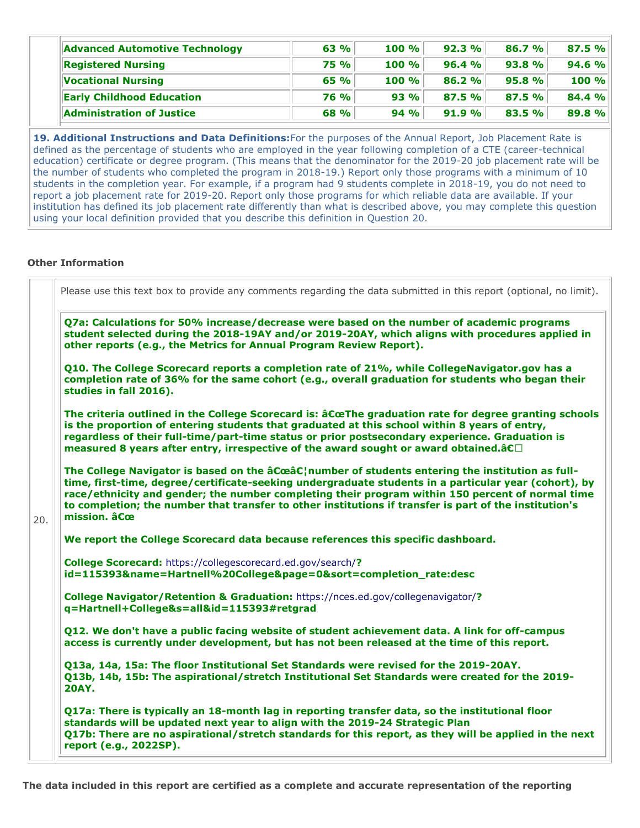| Advanced Automotive Technology   | 63 %        | 100% | 92.3% | 86.7% | 87.5 % |
|----------------------------------|-------------|------|-------|-------|--------|
| <b>Registered Nursing</b>        | <b>75 %</b> | 100% | 96.4% | 93.8% | 94.6 % |
| <b>Vocational Nursing</b>        | 65 %        | 100% | 86.2% | 95.8% | 100 %  |
| <b>Early Childhood Education</b> | <b>76 %</b> | 93%  | 87.5% | 87.5% | 84.4 % |
| Administration of Justice        | <b>68 %</b> | 94%  | 91.9% | 83.5% | 89.8%  |

**19. Additional Instructions and Data Definitions:**For the purposes of the Annual Report, Job Placement Rate is defined as the percentage of students who are employed in the year following completion of a CTE (career-technical education) certificate or degree program. (This means that the denominator for the 2019-20 job placement rate will be the number of students who completed the program in 2018-19.) Report only those programs with a minimum of 10 students in the completion year. For example, if a program had 9 students complete in 2018-19, you do not need to report a job placement rate for 2019-20. Report only those programs for which reliable data are available. If your institution has defined its job placement rate differently than what is described above, you may complete this question using your local definition provided that you describe this definition in Question 20.

# **Other Information**

|              | Q7a: Calculations for 50% increase/decrease were based on the number of academic programs<br>student selected during the 2018-19AY and/or 2019-20AY, which aligns with procedures applied in<br>other reports (e.g., the Metrics for Annual Program Review Report).                                                                                                                                                                                     |
|--------------|---------------------------------------------------------------------------------------------------------------------------------------------------------------------------------------------------------------------------------------------------------------------------------------------------------------------------------------------------------------------------------------------------------------------------------------------------------|
|              | Q10. The College Scorecard reports a completion rate of 21%, while CollegeNavigator.gov has a<br>completion rate of 36% for the same cohort (e.g., overall graduation for students who began their<br>studies in fall 2016).                                                                                                                                                                                                                            |
|              | The criteria outlined in the College Scorecard is: $\hat{a}$ CoeThe graduation rate for degree granting schools<br>is the proportion of entering students that graduated at this school within 8 years of entry,<br>regardless of their full-time/part-time status or prior postsecondary experience. Graduation is<br>measured 8 years after entry, irrespective of the award sought or award obtained.â $C$                                           |
| mission. âCœ | The College Navigator is based on the $\hat{a}C\hat{c}\hat{a}C_1^{\dagger}$ number of students entering the institution as full-<br>time, first-time, degree/certificate-seeking undergraduate students in a particular year (cohort), by<br>race/ethnicity and gender; the number completing their program within 150 percent of normal time<br>to completion; the number that transfer to other institutions if transfer is part of the institution's |
|              | We report the College Scorecard data because references this specific dashboard.                                                                                                                                                                                                                                                                                                                                                                        |
|              | College Scorecard: https://collegescorecard.ed.gov/search/?<br>id=115393&name=Hartnell%20College&page=0&sort=completion_rate:desc                                                                                                                                                                                                                                                                                                                       |
|              | College Navigator/Retention & Graduation: https://nces.ed.gov/collegenavigator/?<br>q=Hartnell+College&s=all&id=115393#retgrad                                                                                                                                                                                                                                                                                                                          |
|              | Q12. We don't have a public facing website of student achievement data. A link for off-campus<br>access is currently under development, but has not been released at the time of this report.                                                                                                                                                                                                                                                           |
| <b>20AY.</b> | Q13a, 14a, 15a: The floor Institutional Set Standards were revised for the 2019-20AY.<br>Q13b, 14b, 15b: The aspirational/stretch Institutional Set Standards were created for the 2019-                                                                                                                                                                                                                                                                |
|              | Q17a: There is typically an 18-month lag in reporting transfer data, so the institutional floor<br>standards will be updated next year to align with the 2019-24 Strategic Plan<br>Q17b: There are no aspirational/stretch standards for this report, as they will be applied in the next<br>report (e.g., 2022SP).                                                                                                                                     |